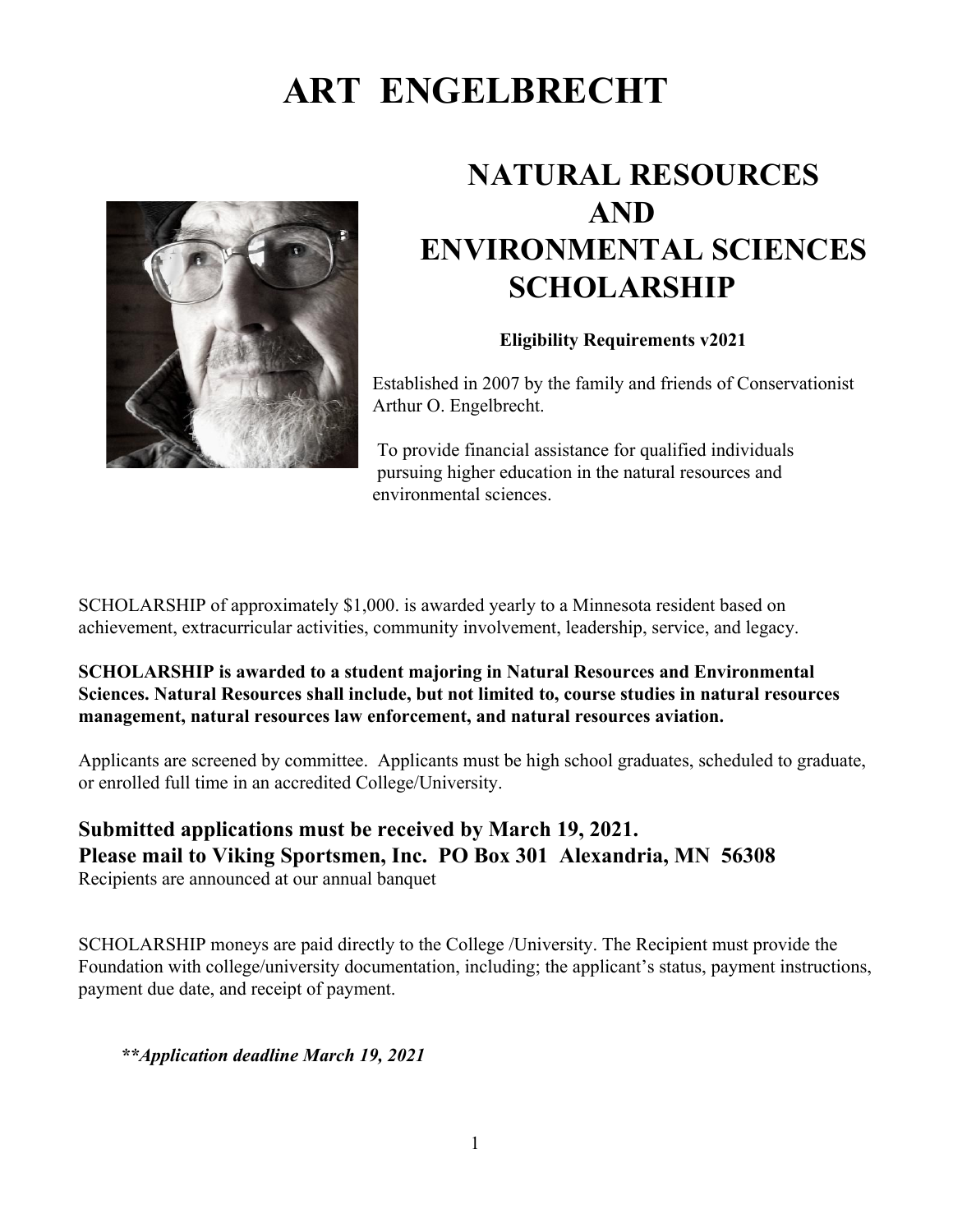# **ART ENGELBRECHT**



## **NATURAL RESOURCES AND ENVIRONMENTAL SCIENCES SCHOLARSHIP**

### **Eligibility Requirements v2021**

Established in 2007 by the family and friends of Conservationist Arthur O. Engelbrecht.

To provide financial assistance for qualified individuals pursuing higher education in the natural resources and environmental sciences.

SCHOLARSHIP of approximately \$1,000. is awarded yearly to a Minnesota resident based on achievement, extracurricular activities, community involvement, leadership, service, and legacy.

### **SCHOLARSHIP is awarded to a student majoring in Natural Resources and Environmental Sciences. Natural Resources shall include, but not limited to, course studies in natural resources management, natural resources law enforcement, and natural resources aviation.**

Applicants are screened by committee. Applicants must be high school graduates, scheduled to graduate, or enrolled full time in an accredited College/University.

## **Submitted applications must be received by March 19, 2021. Please mail to Viking Sportsmen, Inc. PO Box 301 Alexandria, MN 56308** Recipients are announced at our annual banquet

SCHOLARSHIP moneys are paid directly to the College /University. The Recipient must provide the Foundation with college/university documentation, including; the applicant's status, payment instructions, payment due date, and receipt of payment.

*\*\*Application deadline March 19, 2021*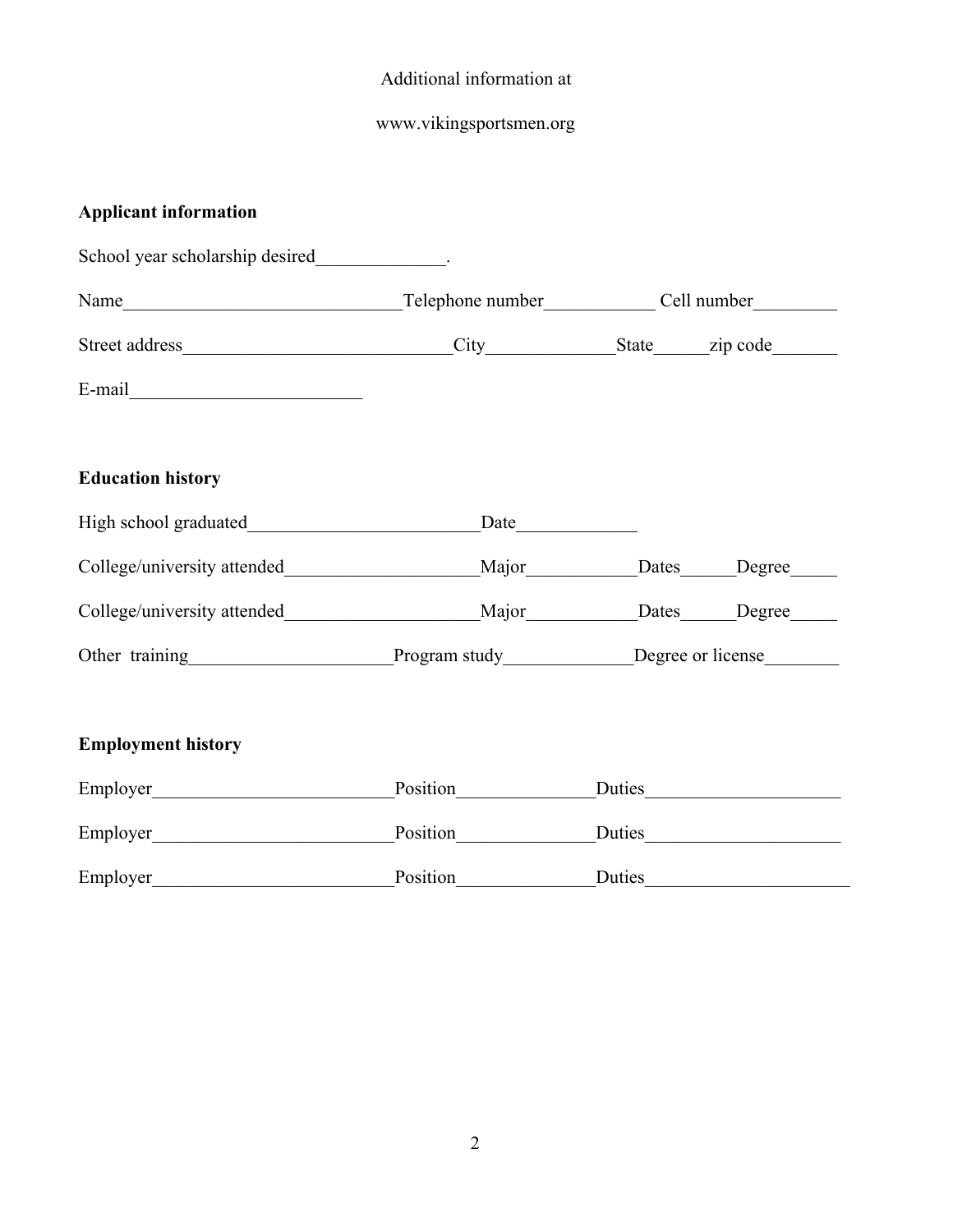## Additional information at

## www.vikingsportsmen.org

## **Applicant information**

| School year scholarship desired.                                                              |                                   |  |        |
|-----------------------------------------------------------------------------------------------|-----------------------------------|--|--------|
|                                                                                               |                                   |  |        |
|                                                                                               |                                   |  |        |
| $E-mail$                                                                                      |                                   |  |        |
| <b>Education history</b>                                                                      |                                   |  |        |
|                                                                                               | $\frac{\text{Date}}{\text{Date}}$ |  |        |
| College/university attended__________________________Major____________Dates______Degree______ |                                   |  |        |
| College/university attended__________________________Major____________Dates______Degree______ |                                   |  |        |
| Other training Program study Degree or license                                                |                                   |  |        |
| <b>Employment history</b>                                                                     |                                   |  |        |
| Employer                                                                                      |                                   |  | Duties |
|                                                                                               | Position Duties                   |  |        |
| Employer Position Duties                                                                      |                                   |  |        |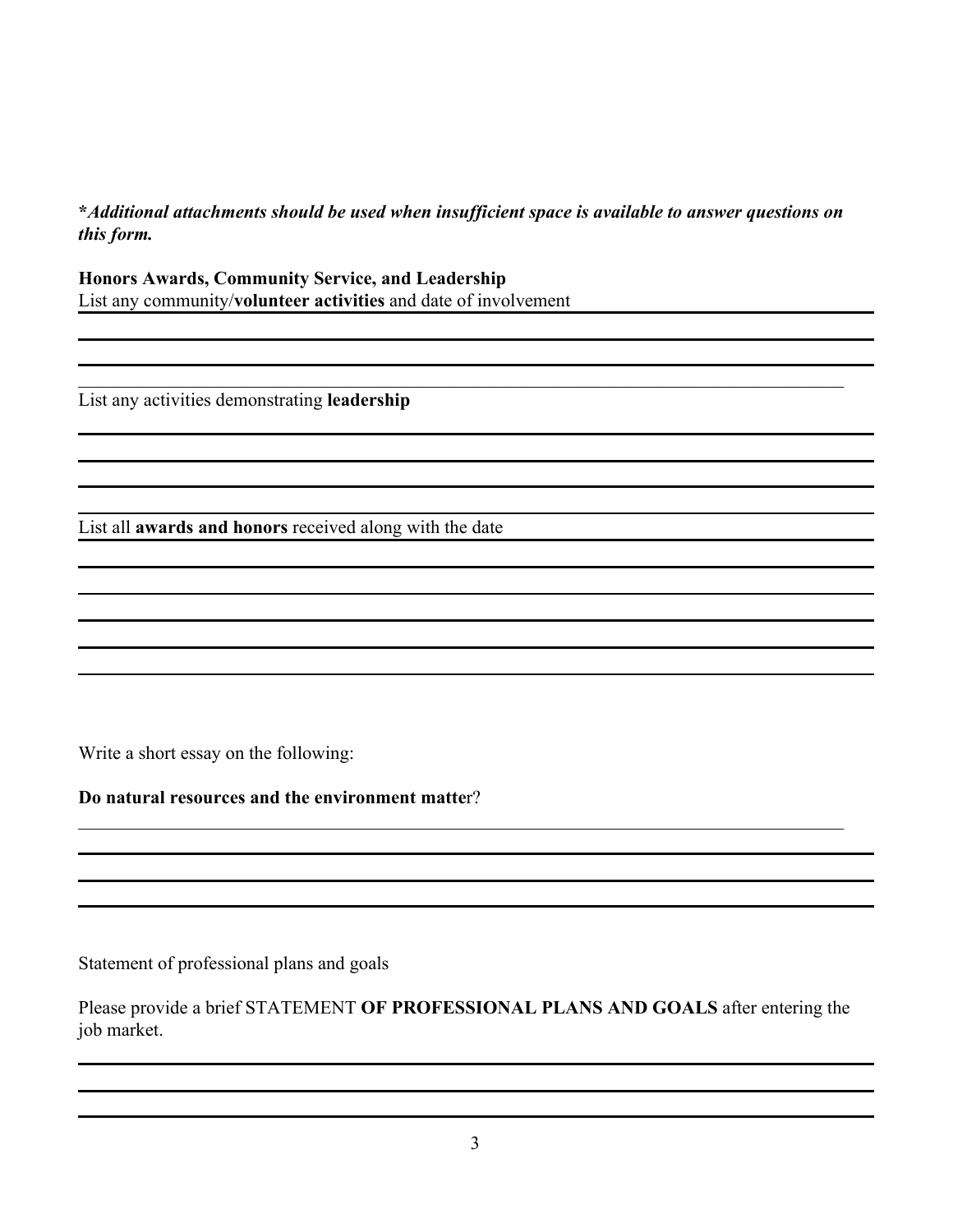## **\****Additional attachments should be used when insufficient space is available to answer questions on this form.*

 $\_$  , and the contribution of the contribution of the contribution of the contribution of  $\mathcal{L}_\text{max}$ 

**Honors Awards, Community Service, and Leadership** List any community/**volunteer activities** and date of involvement

List any activities demonstrating **leadership**

List all **awards and honors** received along with the date

Write a short essay on the following:

**Do natural resources and the environment matte**r?

Statement of professional plans and goals

Please provide a brief STATEMENT **OF PROFESSIONAL PLANS AND GOALS** after entering the job market.

 $\_$  , and the contribution of the contribution of the contribution of the contribution of  $\mathcal{L}_\text{max}$